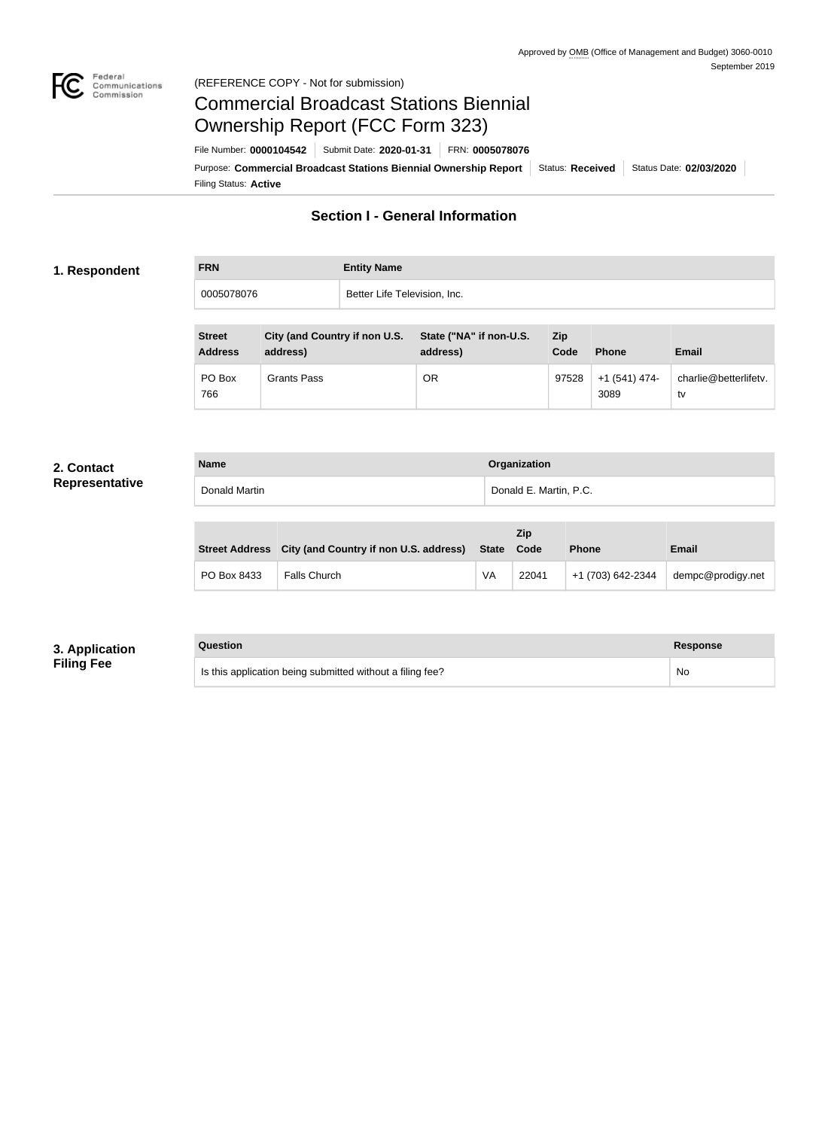

# Federal<br>Communications<br>Commission (REFERENCE COPY - Not for submission)

# Commercial Broadcast Stations Biennial Ownership Report (FCC Form 323)

Filing Status: **Active** Purpose: Commercial Broadcast Stations Biennial Ownership Report Status: Received Status Date: 02/03/2020 File Number: **0000104542** Submit Date: **2020-01-31** FRN: **0005078076**

# **Section I - General Information**

# **1. Respondent**

| <b>FRN</b> | <b>Entity Name</b>           |
|------------|------------------------------|
| 0005078076 | Better Life Television, Inc. |

| <b>Street</b><br><b>Address</b> | City (and Country if non U.S.<br>address) | State ("NA" if non-U.S.<br>address) | <b>Zip</b><br>Code | <b>Phone</b>          | <b>Email</b>                |
|---------------------------------|-------------------------------------------|-------------------------------------|--------------------|-----------------------|-----------------------------|
| PO Box<br>766                   | <b>Grants Pass</b>                        | OR                                  | 97528              | +1 (541) 474-<br>3089 | charlie@betterlifetv.<br>tv |

# **2. Contact Representative**

| <b>Name</b>   | Organization           |
|---------------|------------------------|
| Donald Martin | Donald E. Martin, P.C. |
|               |                        |
|               |                        |

|             |                                                       |       | Zip   |                   |                   |  |
|-------------|-------------------------------------------------------|-------|-------|-------------------|-------------------|--|
|             | Street Address City (and Country if non U.S. address) | State | Code  | <b>Phone</b>      | <b>Email</b>      |  |
| PO Box 8433 | <b>Falls Church</b>                                   | VA    | 22041 | +1 (703) 642-2344 | dempc@prodigy.net |  |

# **3. Application Filing Fee**

### **Question Response**

|  | Is this application being submitted without a filing fee? | <b>No</b> |
|--|-----------------------------------------------------------|-----------|
|--|-----------------------------------------------------------|-----------|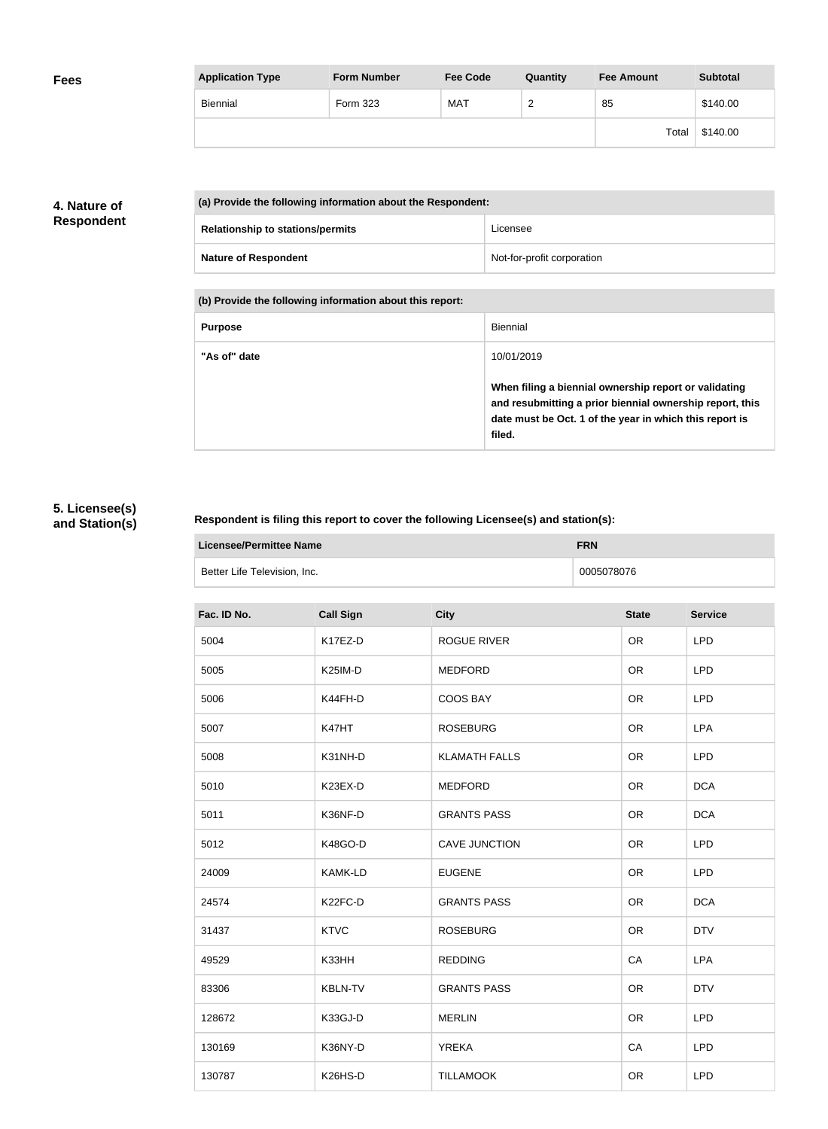| <b>Fees</b> | <b>Application Type</b> | <b>Form Number</b> | <b>Fee Code</b> | Quantity | <b>Fee Amount</b> | <b>Subtotal</b> |
|-------------|-------------------------|--------------------|-----------------|----------|-------------------|-----------------|
|             | Biennial                | Form 323           | <b>MAT</b>      | ◠<br>∼   | 85                | \$140.00        |
|             |                         |                    |                 |          | Total             | \$140.00        |

# **4. Nature of Respondent**

| (a) Provide the following information about the Respondent: |                            |  |
|-------------------------------------------------------------|----------------------------|--|
| <b>Relationship to stations/permits</b>                     | Licensee                   |  |
| <b>Nature of Respondent</b>                                 | Not-for-profit corporation |  |

**(b) Provide the following information about this report:**

| <b>Purpose</b> | Biennial                                                                                                                                                                               |
|----------------|----------------------------------------------------------------------------------------------------------------------------------------------------------------------------------------|
| "As of" date   | 10/01/2019                                                                                                                                                                             |
|                | When filing a biennial ownership report or validating<br>and resubmitting a prior biennial ownership report, this<br>date must be Oct. 1 of the year in which this report is<br>filed. |

# **5. Licensee(s) and Station(s)**

# **Respondent is filing this report to cover the following Licensee(s) and station(s):**

| Licensee/Permittee Name      | <b>FRN</b> |
|------------------------------|------------|
| Better Life Television, Inc. | 0005078076 |

| <b>Call Sign</b>     | <b>City</b>          | <b>State</b> | <b>Service</b> |
|----------------------|----------------------|--------------|----------------|
| K17EZ-D              | <b>ROGUE RIVER</b>   | <b>OR</b>    | <b>LPD</b>     |
| K <sub>25</sub> IM-D | <b>MEDFORD</b>       | <b>OR</b>    | <b>LPD</b>     |
| K44FH-D              | COOS BAY             | OR           | <b>LPD</b>     |
| K47HT                | <b>ROSEBURG</b>      | <b>OR</b>    | <b>LPA</b>     |
| K31NH-D              | <b>KLAMATH FALLS</b> | <b>OR</b>    | <b>LPD</b>     |
| K23EX-D              | <b>MEDFORD</b>       | <b>OR</b>    | <b>DCA</b>     |
| K36NF-D              | <b>GRANTS PASS</b>   | <b>OR</b>    | <b>DCA</b>     |
| K48GO-D              | <b>CAVE JUNCTION</b> | <b>OR</b>    | <b>LPD</b>     |
| <b>KAMK-LD</b>       | <b>EUGENE</b>        | <b>OR</b>    | <b>LPD</b>     |
| K22FC-D              | <b>GRANTS PASS</b>   | <b>OR</b>    | <b>DCA</b>     |
| <b>KTVC</b>          | <b>ROSEBURG</b>      | <b>OR</b>    | <b>DTV</b>     |
| K33HH                | <b>REDDING</b>       | CA           | <b>LPA</b>     |
| <b>KBLN-TV</b>       | <b>GRANTS PASS</b>   | <b>OR</b>    | <b>DTV</b>     |
| K33GJ-D              | <b>MERLIN</b>        | <b>OR</b>    | <b>LPD</b>     |
| K36NY-D              | <b>YREKA</b>         | CA           | <b>LPD</b>     |
| K26HS-D              | <b>TILLAMOOK</b>     | <b>OR</b>    | <b>LPD</b>     |
|                      |                      |              |                |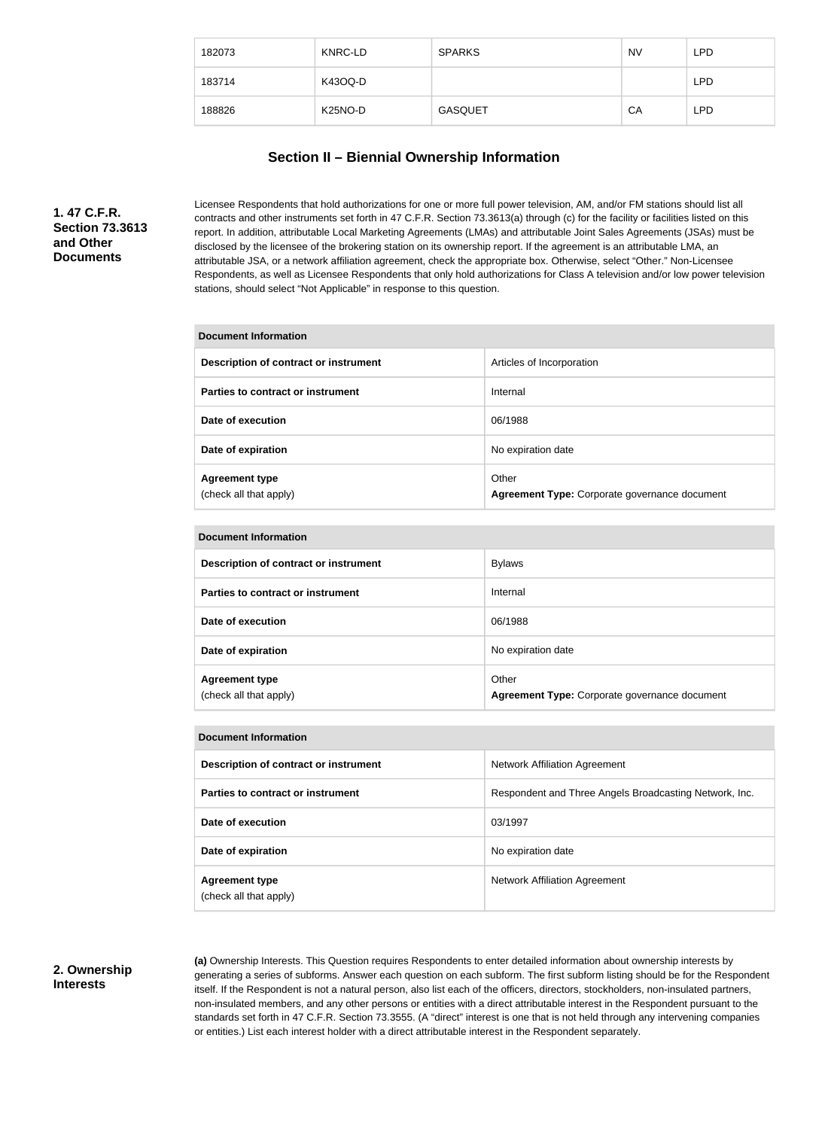| 182073 | KNRC-LD              | <b>SPARKS</b>  | <b>NV</b> | LPD        |
|--------|----------------------|----------------|-----------|------------|
| 183714 | K43OQ-D              |                |           | <b>LPD</b> |
| 188826 | K <sub>25</sub> NO-D | <b>GASQUET</b> | CA        | <b>LPD</b> |

# **Section II – Biennial Ownership Information**

**1. 47 C.F.R. Section 73.3613 and Other Documents**

Licensee Respondents that hold authorizations for one or more full power television, AM, and/or FM stations should list all contracts and other instruments set forth in 47 C.F.R. Section 73.3613(a) through (c) for the facility or facilities listed on this report. In addition, attributable Local Marketing Agreements (LMAs) and attributable Joint Sales Agreements (JSAs) must be disclosed by the licensee of the brokering station on its ownership report. If the agreement is an attributable LMA, an attributable JSA, or a network affiliation agreement, check the appropriate box. Otherwise, select "Other." Non-Licensee Respondents, as well as Licensee Respondents that only hold authorizations for Class A television and/or low power television stations, should select "Not Applicable" in response to this question.

#### **Document Information**

| Description of contract or instrument           | Articles of Incorporation                              |
|-------------------------------------------------|--------------------------------------------------------|
| Parties to contract or instrument               | Internal                                               |
| Date of execution                               | 06/1988                                                |
| Date of expiration                              | No expiration date                                     |
| <b>Agreement type</b><br>(check all that apply) | Other<br>Agreement Type: Corporate governance document |

| <b>Document Information</b>                     |                                                        |  |  |
|-------------------------------------------------|--------------------------------------------------------|--|--|
| Description of contract or instrument           | <b>Bylaws</b>                                          |  |  |
| Parties to contract or instrument               | Internal                                               |  |  |
| Date of execution                               | 06/1988                                                |  |  |
| Date of expiration                              | No expiration date                                     |  |  |
| <b>Agreement type</b><br>(check all that apply) | Other<br>Agreement Type: Corporate governance document |  |  |

#### **Document Information**

| Description of contract or instrument           | <b>Network Affiliation Agreement</b>                   |  |  |
|-------------------------------------------------|--------------------------------------------------------|--|--|
| Parties to contract or instrument               | Respondent and Three Angels Broadcasting Network, Inc. |  |  |
| Date of execution                               | 03/1997                                                |  |  |
| Date of expiration                              | No expiration date                                     |  |  |
| <b>Agreement type</b><br>(check all that apply) | <b>Network Affiliation Agreement</b>                   |  |  |

## **2. Ownership Interests**

**(a)** Ownership Interests. This Question requires Respondents to enter detailed information about ownership interests by generating a series of subforms. Answer each question on each subform. The first subform listing should be for the Respondent itself. If the Respondent is not a natural person, also list each of the officers, directors, stockholders, non-insulated partners, non-insulated members, and any other persons or entities with a direct attributable interest in the Respondent pursuant to the standards set forth in 47 C.F.R. Section 73.3555. (A "direct" interest is one that is not held through any intervening companies or entities.) List each interest holder with a direct attributable interest in the Respondent separately.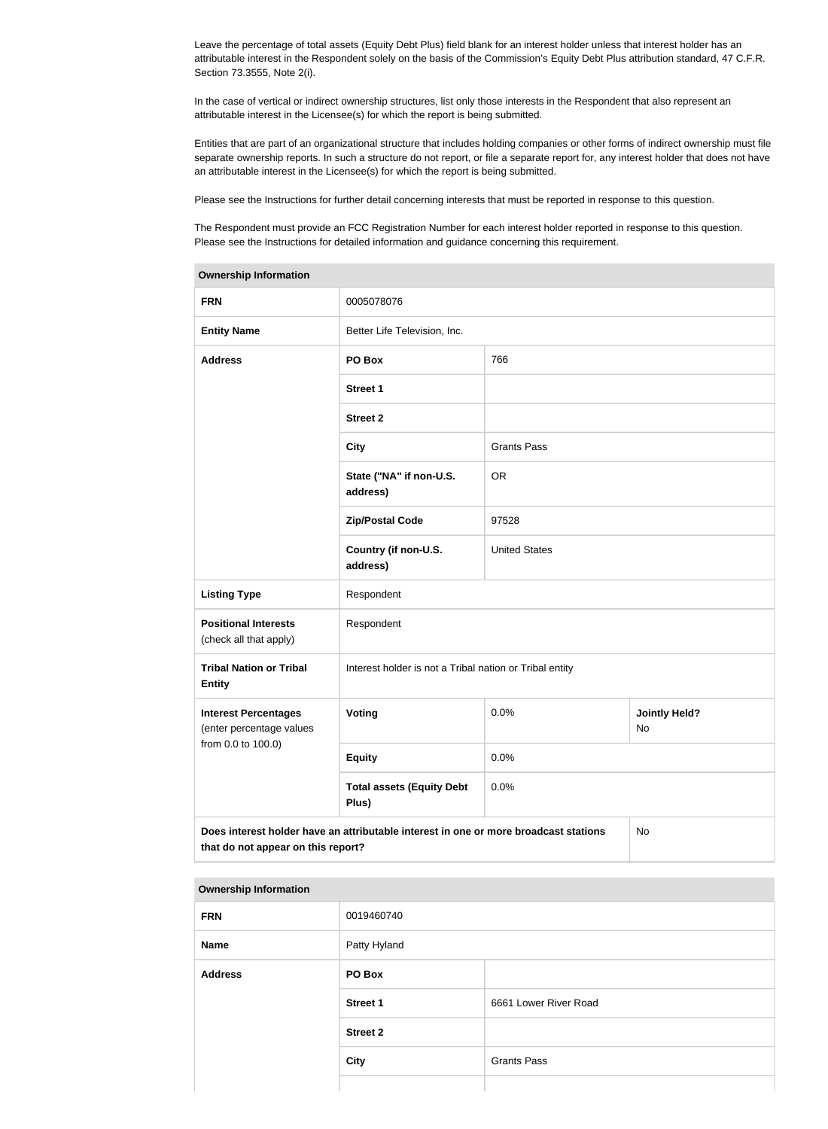Leave the percentage of total assets (Equity Debt Plus) field blank for an interest holder unless that interest holder has an attributable interest in the Respondent solely on the basis of the Commission's Equity Debt Plus attribution standard, 47 C.F.R. Section 73.3555, Note 2(i).

In the case of vertical or indirect ownership structures, list only those interests in the Respondent that also represent an attributable interest in the Licensee(s) for which the report is being submitted.

Entities that are part of an organizational structure that includes holding companies or other forms of indirect ownership must file separate ownership reports. In such a structure do not report, or file a separate report for, any interest holder that does not have an attributable interest in the Licensee(s) for which the report is being submitted.

Please see the Instructions for further detail concerning interests that must be reported in response to this question.

The Respondent must provide an FCC Registration Number for each interest holder reported in response to this question. Please see the Instructions for detailed information and guidance concerning this requirement.

| <b>Ownership Information</b>                                                                                                     |                                                         |                      |                            |
|----------------------------------------------------------------------------------------------------------------------------------|---------------------------------------------------------|----------------------|----------------------------|
| <b>FRN</b>                                                                                                                       | 0005078076                                              |                      |                            |
| <b>Entity Name</b>                                                                                                               | Better Life Television, Inc.                            |                      |                            |
| <b>Address</b>                                                                                                                   | PO Box                                                  | 766                  |                            |
|                                                                                                                                  | <b>Street 1</b>                                         |                      |                            |
|                                                                                                                                  | <b>Street 2</b>                                         |                      |                            |
|                                                                                                                                  | <b>City</b>                                             | <b>Grants Pass</b>   |                            |
|                                                                                                                                  | State ("NA" if non-U.S.<br>address)                     | <b>OR</b>            |                            |
|                                                                                                                                  | <b>Zip/Postal Code</b>                                  | 97528                |                            |
|                                                                                                                                  | Country (if non-U.S.<br>address)                        | <b>United States</b> |                            |
| <b>Listing Type</b>                                                                                                              | Respondent                                              |                      |                            |
| <b>Positional Interests</b><br>(check all that apply)                                                                            | Respondent                                              |                      |                            |
| <b>Tribal Nation or Tribal</b><br><b>Entity</b>                                                                                  | Interest holder is not a Tribal nation or Tribal entity |                      |                            |
| <b>Interest Percentages</b><br>(enter percentage values                                                                          | Voting                                                  | 0.0%                 | <b>Jointly Held?</b><br>No |
| from 0.0 to 100.0)                                                                                                               | <b>Equity</b>                                           | 0.0%                 |                            |
|                                                                                                                                  | <b>Total assets (Equity Debt</b><br>Plus)               | 0.0%                 |                            |
| Does interest holder have an attributable interest in one or more broadcast stations<br>No<br>that do not appear on this report? |                                                         |                      |                            |

#### **Ownership Information**

| <b>FRN</b>     | 0019460740      |                       |
|----------------|-----------------|-----------------------|
| <b>Name</b>    | Patty Hyland    |                       |
| <b>Address</b> | PO Box          |                       |
|                | <b>Street 1</b> | 6661 Lower River Road |
|                | <b>Street 2</b> |                       |
|                | <b>City</b>     | <b>Grants Pass</b>    |
|                |                 |                       |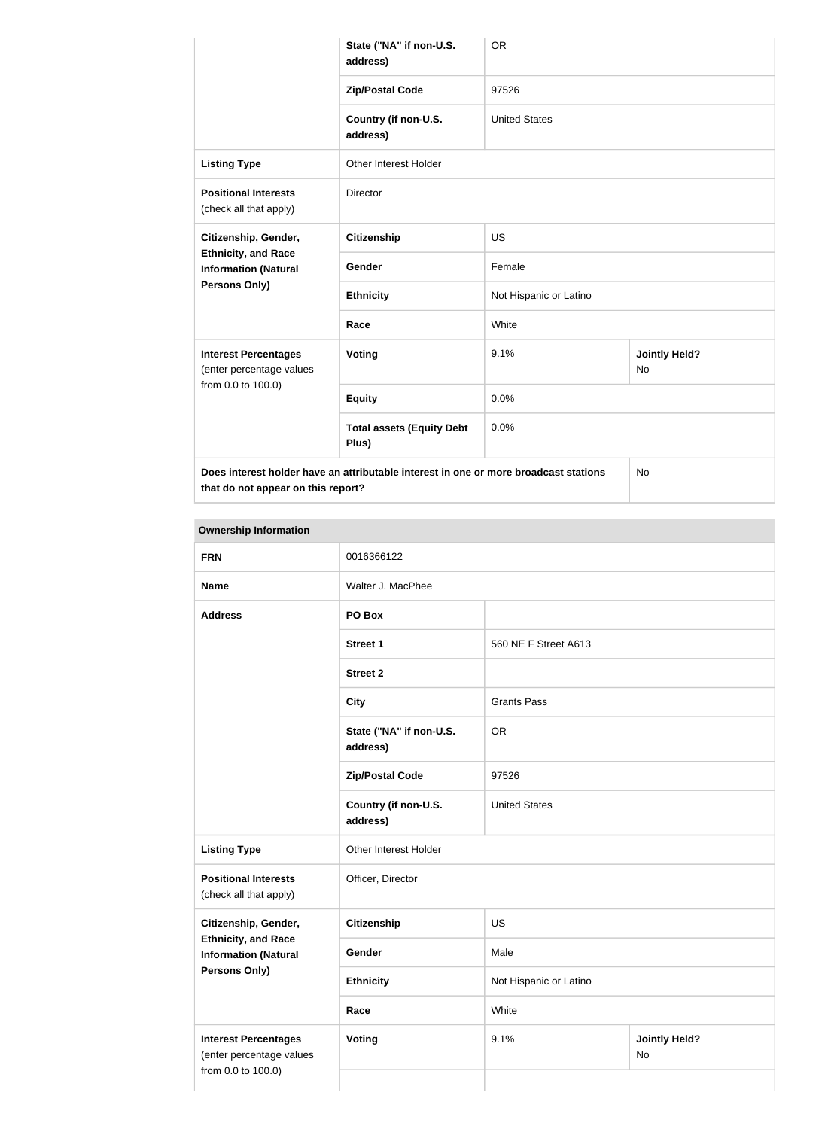|                                                                                   | State ("NA" if non-U.S.<br>address)                                                  | <b>OR</b>              |                                   |
|-----------------------------------------------------------------------------------|--------------------------------------------------------------------------------------|------------------------|-----------------------------------|
|                                                                                   | <b>Zip/Postal Code</b>                                                               | 97526                  |                                   |
|                                                                                   | Country (if non-U.S.<br>address)                                                     | <b>United States</b>   |                                   |
| <b>Listing Type</b>                                                               | Other Interest Holder                                                                |                        |                                   |
| <b>Positional Interests</b><br>(check all that apply)                             | Director                                                                             |                        |                                   |
| Citizenship, Gender,<br><b>Ethnicity, and Race</b><br><b>Information (Natural</b> | <b>Citizenship</b>                                                                   | <b>US</b>              |                                   |
|                                                                                   | Gender                                                                               | Female                 |                                   |
| <b>Persons Only)</b>                                                              | <b>Ethnicity</b>                                                                     | Not Hispanic or Latino |                                   |
|                                                                                   | Race                                                                                 | White                  |                                   |
| <b>Interest Percentages</b><br>(enter percentage values<br>from 0.0 to 100.0)     | Voting                                                                               | 9.1%                   | <b>Jointly Held?</b><br><b>No</b> |
|                                                                                   | <b>Equity</b>                                                                        | 0.0%                   |                                   |
|                                                                                   | <b>Total assets (Equity Debt</b><br>Plus)                                            | 0.0%                   |                                   |
|                                                                                   | Does interest holder have an attributable interest in one or more broadcast stations |                        | <b>No</b>                         |

**that do not appear on this report?**

**Ownership Information FRN** 0016366122 **Name** Walter J. MacPhee **Address PO Box Street 1** 560 NE F Street A613 **Street 2 City** Grants Pass **State ("NA" if non-U.S. address)** OR **Zip/Postal Code** 97526 **Country (if non-U.S. address)** United States **Listing Type Circuit Constructs** Other Interest Holder **Positional Interests** (check all that apply) Officer, Director **Citizenship, Gender, Ethnicity, and Race Information (Natural Persons Only) Citizenship** US Gender Male **Ethnicity** Not Hispanic or Latino **Race** White **Interest Percentages** (enter percentage values from 0.0 to 100.0) **Voting Voting Jointly Held?** No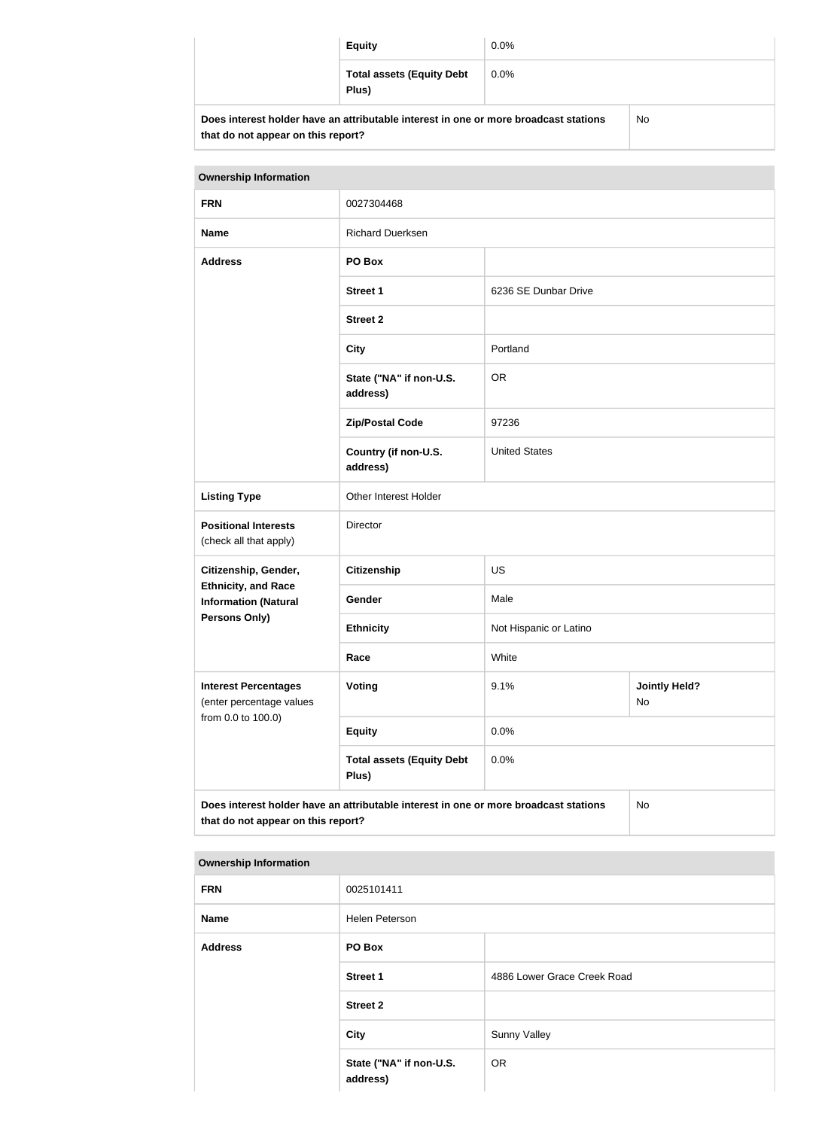|                                                                                                                            | <b>Equity</b>                             | $0.0\%$ |    |
|----------------------------------------------------------------------------------------------------------------------------|-------------------------------------------|---------|----|
|                                                                                                                            | <b>Total assets (Equity Debt</b><br>Plus) | $0.0\%$ |    |
| Does interest holder have an attributable interest in one or more broadcast stations<br>that do not appear on this report? |                                           |         | No |

| <b>Ownership Information</b>                                                                                                     |                                           |                        |                            |
|----------------------------------------------------------------------------------------------------------------------------------|-------------------------------------------|------------------------|----------------------------|
| <b>FRN</b>                                                                                                                       | 0027304468                                |                        |                            |
| <b>Name</b>                                                                                                                      | <b>Richard Duerksen</b>                   |                        |                            |
| <b>Address</b>                                                                                                                   | PO Box                                    |                        |                            |
|                                                                                                                                  | <b>Street 1</b>                           | 6236 SE Dunbar Drive   |                            |
|                                                                                                                                  | <b>Street 2</b>                           |                        |                            |
|                                                                                                                                  | <b>City</b>                               | Portland               |                            |
|                                                                                                                                  | State ("NA" if non-U.S.<br>address)       | <b>OR</b>              |                            |
|                                                                                                                                  | <b>Zip/Postal Code</b>                    | 97236                  |                            |
|                                                                                                                                  | Country (if non-U.S.<br>address)          | <b>United States</b>   |                            |
| <b>Listing Type</b>                                                                                                              | Other Interest Holder                     |                        |                            |
| <b>Positional Interests</b><br>(check all that apply)                                                                            | Director                                  |                        |                            |
| Citizenship, Gender,                                                                                                             | <b>Citizenship</b>                        | US                     |                            |
| <b>Ethnicity, and Race</b><br><b>Information (Natural</b>                                                                        | Gender                                    | Male                   |                            |
| <b>Persons Only)</b>                                                                                                             | <b>Ethnicity</b>                          | Not Hispanic or Latino |                            |
|                                                                                                                                  | Race                                      | White                  |                            |
| <b>Interest Percentages</b><br>(enter percentage values                                                                          | Voting                                    | 9.1%                   | <b>Jointly Held?</b><br>No |
| from 0.0 to 100.0)                                                                                                               | <b>Equity</b>                             | 0.0%                   |                            |
|                                                                                                                                  | <b>Total assets (Equity Debt</b><br>Plus) | 0.0%                   |                            |
| Does interest holder have an attributable interest in one or more broadcast stations<br>No<br>that do not appear on this report? |                                           |                        |                            |

# **Ownership Information**

| <b>FRN</b>     | 0025101411                          |                             |
|----------------|-------------------------------------|-----------------------------|
| <b>Name</b>    | Helen Peterson                      |                             |
| <b>Address</b> | PO Box                              |                             |
|                | <b>Street 1</b>                     | 4886 Lower Grace Creek Road |
|                | <b>Street 2</b>                     |                             |
|                | <b>City</b>                         | <b>Sunny Valley</b>         |
|                | State ("NA" if non-U.S.<br>address) | <b>OR</b>                   |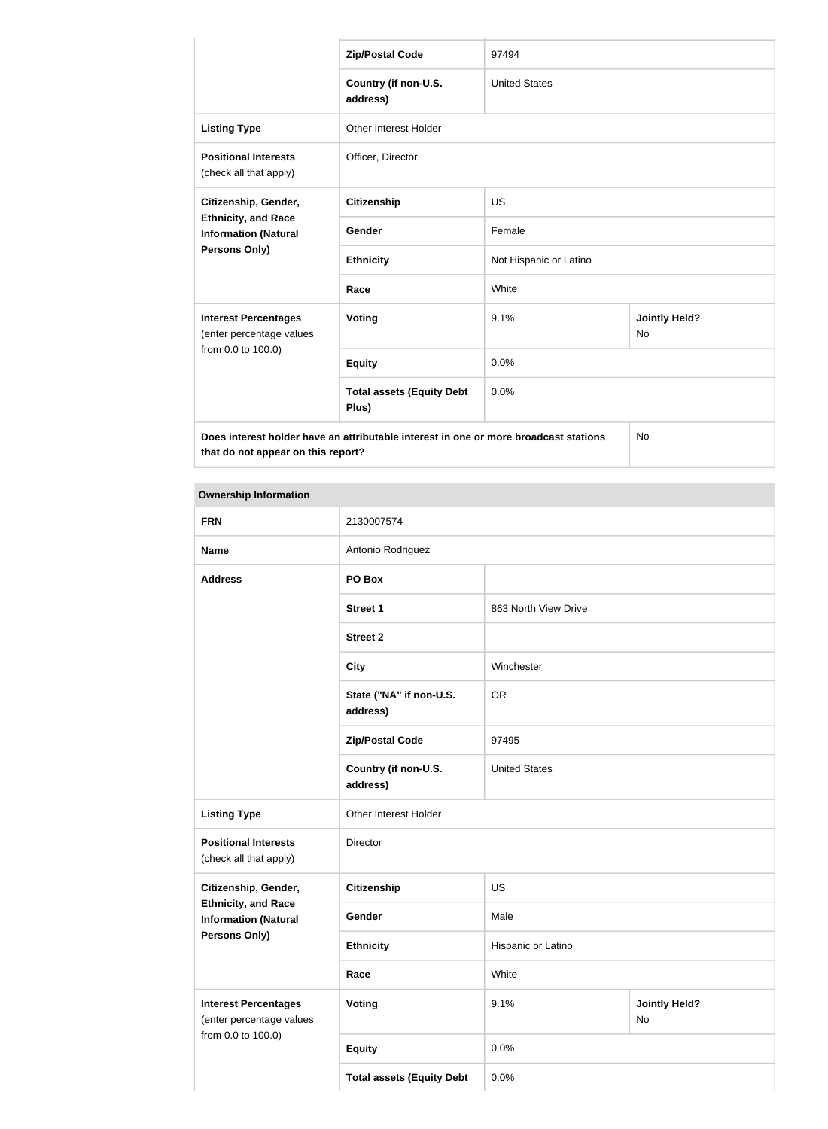|                                                                            | <b>Zip/Postal Code</b>                                                               | 97494                  |                                   |
|----------------------------------------------------------------------------|--------------------------------------------------------------------------------------|------------------------|-----------------------------------|
|                                                                            | Country (if non-U.S.<br>address)                                                     | <b>United States</b>   |                                   |
| <b>Listing Type</b>                                                        | <b>Other Interest Holder</b>                                                         |                        |                                   |
| <b>Positional Interests</b><br>(check all that apply)                      | Officer, Director                                                                    |                        |                                   |
| Citizenship, Gender,                                                       | <b>Citizenship</b>                                                                   | <b>US</b>              |                                   |
| <b>Ethnicity, and Race</b><br><b>Information (Natural</b><br>Persons Only) | Gender                                                                               | Female                 |                                   |
|                                                                            | <b>Ethnicity</b>                                                                     | Not Hispanic or Latino |                                   |
|                                                                            | Race                                                                                 | White                  |                                   |
| <b>Interest Percentages</b><br>(enter percentage values                    | Voting                                                                               | 9.1%                   | <b>Jointly Held?</b><br><b>No</b> |
| from 0.0 to 100.0)                                                         | <b>Equity</b>                                                                        | 0.0%                   |                                   |
|                                                                            | <b>Total assets (Equity Debt</b><br>Plus)                                            | 0.0%                   |                                   |
| that do not appear on this report?                                         | Does interest holder have an attributable interest in one or more broadcast stations |                        | No                                |

## **Ownership Information**

| <b>FRN</b>                                                | 2130007574                          |                      |                            |  |
|-----------------------------------------------------------|-------------------------------------|----------------------|----------------------------|--|
| <b>Name</b>                                               | Antonio Rodriguez                   |                      |                            |  |
| <b>Address</b>                                            | PO Box                              |                      |                            |  |
|                                                           | <b>Street 1</b>                     | 863 North View Drive |                            |  |
|                                                           | <b>Street 2</b>                     |                      |                            |  |
|                                                           | <b>City</b>                         | Winchester           |                            |  |
|                                                           | State ("NA" if non-U.S.<br>address) | <b>OR</b>            |                            |  |
|                                                           | <b>Zip/Postal Code</b>              | 97495                |                            |  |
|                                                           | Country (if non-U.S.<br>address)    | <b>United States</b> |                            |  |
| <b>Listing Type</b>                                       | Other Interest Holder               |                      |                            |  |
| <b>Positional Interests</b><br>(check all that apply)     | Director                            |                      |                            |  |
| Citizenship, Gender,                                      | <b>Citizenship</b>                  | US                   |                            |  |
| <b>Ethnicity, and Race</b><br><b>Information (Natural</b> | Gender                              | Male                 |                            |  |
| <b>Persons Only)</b>                                      | <b>Ethnicity</b>                    | Hispanic or Latino   |                            |  |
|                                                           | Race                                | White                |                            |  |
| <b>Interest Percentages</b><br>(enter percentage values   | <b>Voting</b>                       | 9.1%                 | <b>Jointly Held?</b><br>No |  |
| from 0.0 to 100.0)                                        | <b>Equity</b>                       | 0.0%                 |                            |  |
|                                                           | <b>Total assets (Equity Debt</b>    | 0.0%                 |                            |  |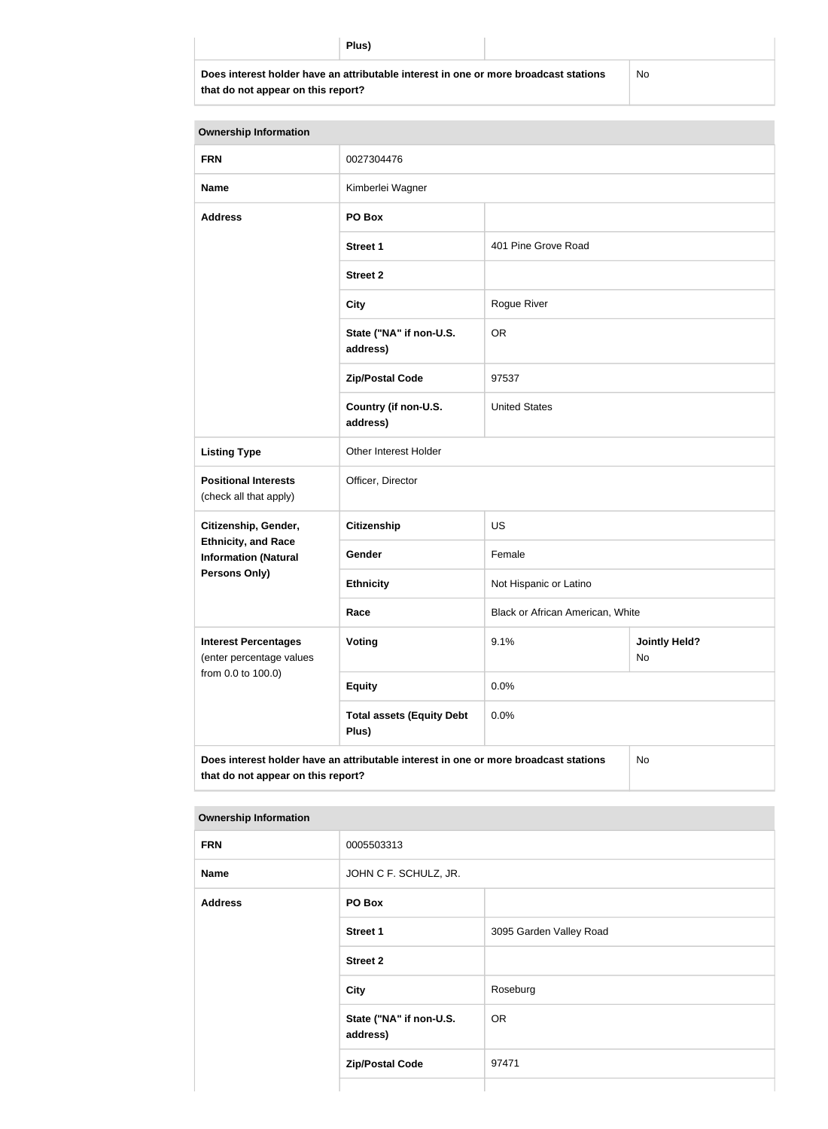**Does interest holder have an attributable interest in one or more broadcast stations that do not appear on this report?**

No

| <b>Ownership Information</b>                                                                                                     |                                           |                                                           |  |  |
|----------------------------------------------------------------------------------------------------------------------------------|-------------------------------------------|-----------------------------------------------------------|--|--|
| <b>FRN</b>                                                                                                                       | 0027304476                                |                                                           |  |  |
| <b>Name</b>                                                                                                                      | Kimberlei Wagner                          |                                                           |  |  |
| <b>Address</b>                                                                                                                   | PO Box                                    |                                                           |  |  |
|                                                                                                                                  | <b>Street 1</b>                           | 401 Pine Grove Road                                       |  |  |
|                                                                                                                                  | <b>Street 2</b>                           |                                                           |  |  |
|                                                                                                                                  | <b>City</b>                               | Rogue River<br><b>OR</b><br>97537<br><b>United States</b> |  |  |
|                                                                                                                                  | State ("NA" if non-U.S.<br>address)       |                                                           |  |  |
|                                                                                                                                  | <b>Zip/Postal Code</b>                    |                                                           |  |  |
|                                                                                                                                  | Country (if non-U.S.<br>address)          |                                                           |  |  |
| <b>Listing Type</b>                                                                                                              | Other Interest Holder                     |                                                           |  |  |
| <b>Positional Interests</b><br>(check all that apply)                                                                            | Officer, Director                         |                                                           |  |  |
| Citizenship, Gender,                                                                                                             | <b>Citizenship</b>                        | <b>US</b>                                                 |  |  |
| <b>Ethnicity, and Race</b><br><b>Information (Natural</b>                                                                        | Gender                                    | Female                                                    |  |  |
| <b>Persons Only)</b>                                                                                                             | <b>Ethnicity</b>                          | Not Hispanic or Latino                                    |  |  |
|                                                                                                                                  | Race                                      | Black or African American, White                          |  |  |
| <b>Interest Percentages</b><br>(enter percentage values                                                                          | Voting                                    | 9.1%<br><b>Jointly Held?</b><br>No                        |  |  |
| from 0.0 to 100.0)                                                                                                               | <b>Equity</b>                             | 0.0%                                                      |  |  |
|                                                                                                                                  | <b>Total assets (Equity Debt</b><br>Plus) | 0.0%                                                      |  |  |
| Does interest holder have an attributable interest in one or more broadcast stations<br>No<br>that do not appear on this report? |                                           |                                                           |  |  |

| <b>Ownership Information</b> |  |  |
|------------------------------|--|--|

| <b>FRN</b>     | 0005503313                          |                         |
|----------------|-------------------------------------|-------------------------|
| <b>Name</b>    | JOHN C F. SCHULZ, JR.               |                         |
| <b>Address</b> | PO Box                              |                         |
|                | <b>Street 1</b>                     | 3095 Garden Valley Road |
|                | <b>Street 2</b>                     |                         |
|                | <b>City</b>                         | Roseburg                |
|                | State ("NA" if non-U.S.<br>address) | <b>OR</b>               |
|                | <b>Zip/Postal Code</b>              | 97471                   |
|                |                                     |                         |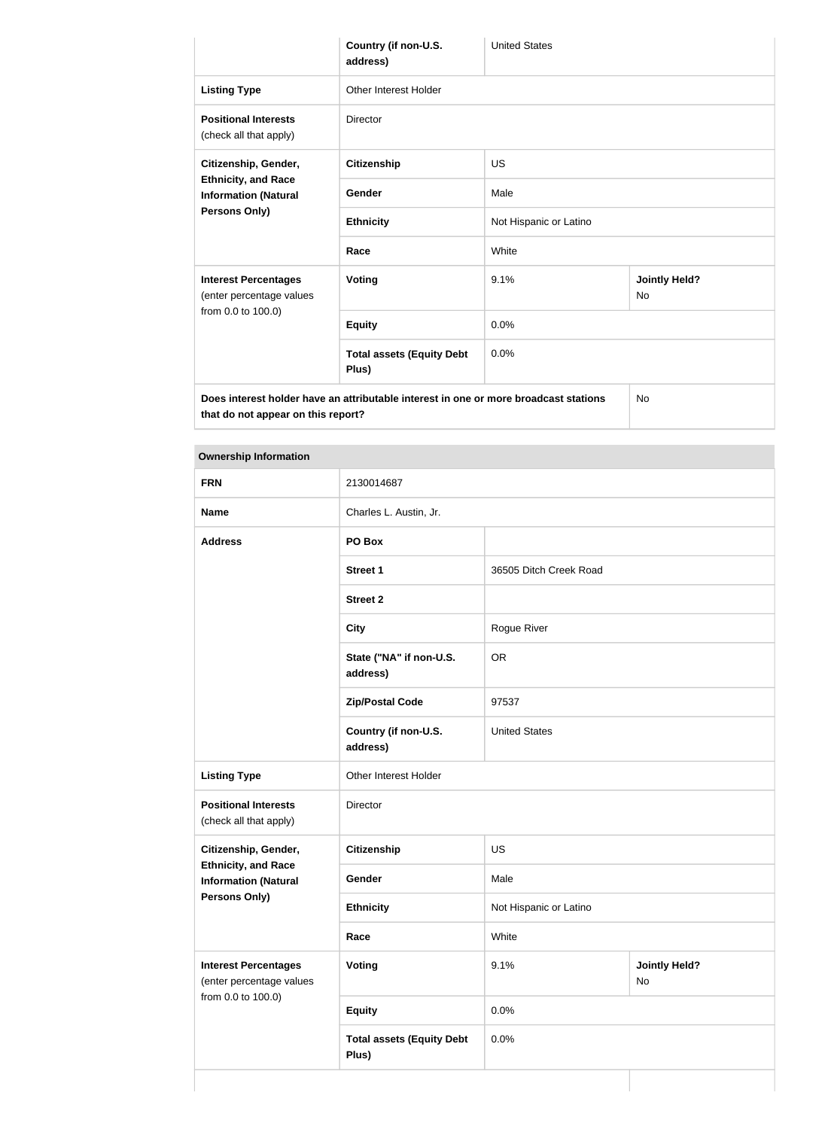|                                                                                      | Country (if non-U.S.<br>address)          | <b>United States</b>   |                                   |  |
|--------------------------------------------------------------------------------------|-------------------------------------------|------------------------|-----------------------------------|--|
| <b>Listing Type</b>                                                                  | Other Interest Holder                     |                        |                                   |  |
| <b>Positional Interests</b><br>(check all that apply)                                | <b>Director</b>                           |                        |                                   |  |
| Citizenship, Gender,<br><b>Ethnicity, and Race</b><br><b>Information (Natural</b>    | <b>Citizenship</b>                        | <b>US</b>              |                                   |  |
|                                                                                      | Gender                                    | Male                   |                                   |  |
| Persons Only)                                                                        | <b>Ethnicity</b>                          | Not Hispanic or Latino |                                   |  |
|                                                                                      | Race                                      | White                  |                                   |  |
| <b>Interest Percentages</b><br>(enter percentage values<br>from 0.0 to 100.0)        | <b>Voting</b>                             | 9.1%                   | <b>Jointly Held?</b><br><b>No</b> |  |
|                                                                                      | <b>Equity</b>                             | 0.0%                   |                                   |  |
|                                                                                      | <b>Total assets (Equity Debt</b><br>Plus) | 0.0%                   |                                   |  |
| Does interest holder have an attributable interest in one or more broadcast stations |                                           |                        | <b>No</b>                         |  |

**that do not appear on this report?**

**Ownership Information FRN** 2130014687 **Name** Charles L. Austin, Jr. **Address PO Box Street 1** 36505 Ditch Creek Road **Street 2 City** Rogue River **State ("NA" if non-U.S. address)** OR **Zip/Postal Code** 97537 **Country (if non-U.S. address)** United States Listing Type **Conservation** Other Interest Holder **Positional Interests** (check all that apply) Director **Citizenship, Gender, Ethnicity, and Race Information (Natural Persons Only) Citizenship** US **Gender** Male **Ethnicity** Not Hispanic or Latino **Race** White **Interest Percentages** (enter percentage values from 0.0 to 100.0) **Voting Voting Jointly Held?** No **Equity** 0.0%

0.0%

**Total assets (Equity Debt** 

**Plus)**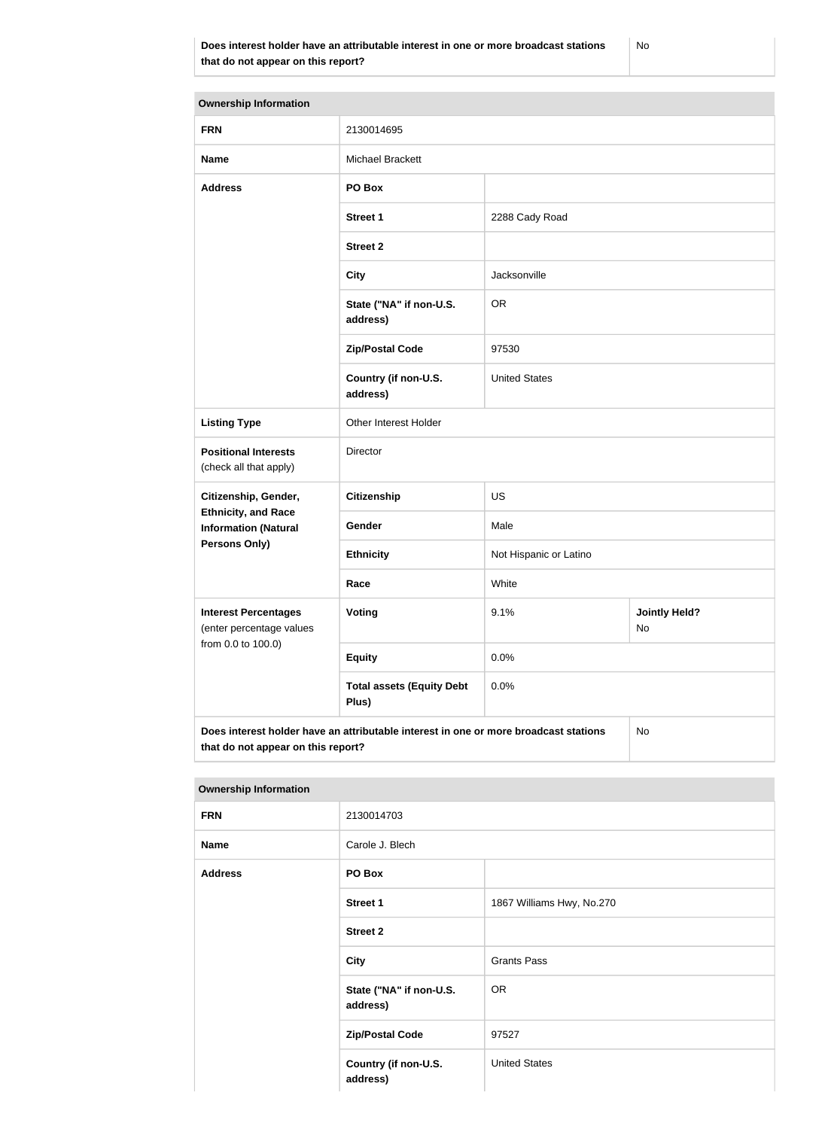| <b>Ownership Information</b>                                                               |                                           |                        |                            |  |
|--------------------------------------------------------------------------------------------|-------------------------------------------|------------------------|----------------------------|--|
| <b>FRN</b>                                                                                 | 2130014695                                |                        |                            |  |
| <b>Name</b>                                                                                | <b>Michael Brackett</b>                   |                        |                            |  |
| <b>Address</b>                                                                             | PO Box                                    |                        |                            |  |
|                                                                                            | <b>Street 1</b>                           | 2288 Cady Road         |                            |  |
|                                                                                            | <b>Street 2</b>                           |                        |                            |  |
|                                                                                            | <b>City</b>                               | Jacksonville           |                            |  |
|                                                                                            | State ("NA" if non-U.S.<br>address)       | <b>OR</b>              |                            |  |
|                                                                                            | <b>Zip/Postal Code</b>                    | 97530                  |                            |  |
|                                                                                            | Country (if non-U.S.<br>address)          | <b>United States</b>   |                            |  |
| <b>Listing Type</b>                                                                        | Other Interest Holder                     |                        |                            |  |
| <b>Positional Interests</b><br>(check all that apply)                                      | Director                                  |                        |                            |  |
| Citizenship, Gender,                                                                       | <b>Citizenship</b>                        | US                     |                            |  |
| <b>Ethnicity, and Race</b><br><b>Information (Natural</b>                                  | Gender                                    | Male                   |                            |  |
| <b>Persons Only)</b>                                                                       | <b>Ethnicity</b>                          | Not Hispanic or Latino |                            |  |
|                                                                                            | Race                                      | White                  |                            |  |
| <b>Interest Percentages</b><br>(enter percentage values                                    | Voting                                    | 9.1%                   | <b>Jointly Held?</b><br>No |  |
| from 0.0 to 100.0)                                                                         | <b>Equity</b>                             | 0.0%                   |                            |  |
|                                                                                            | <b>Total assets (Equity Debt</b><br>Plus) | 0.0%                   |                            |  |
| Does interest holder have an attributable interest in one or more broadcast stations<br>No |                                           |                        |                            |  |

## **Ownership Information**

**that do not appear on this report?**

| <b>FRN</b>     | 2130014703                          |                           |  |
|----------------|-------------------------------------|---------------------------|--|
| <b>Name</b>    | Carole J. Blech                     |                           |  |
| <b>Address</b> | PO Box                              |                           |  |
|                | <b>Street 1</b>                     | 1867 Williams Hwy, No.270 |  |
|                | <b>Street 2</b>                     |                           |  |
|                | <b>City</b>                         | <b>Grants Pass</b>        |  |
|                | State ("NA" if non-U.S.<br>address) | <b>OR</b>                 |  |
|                | <b>Zip/Postal Code</b>              | 97527                     |  |
|                | Country (if non-U.S.<br>address)    | <b>United States</b>      |  |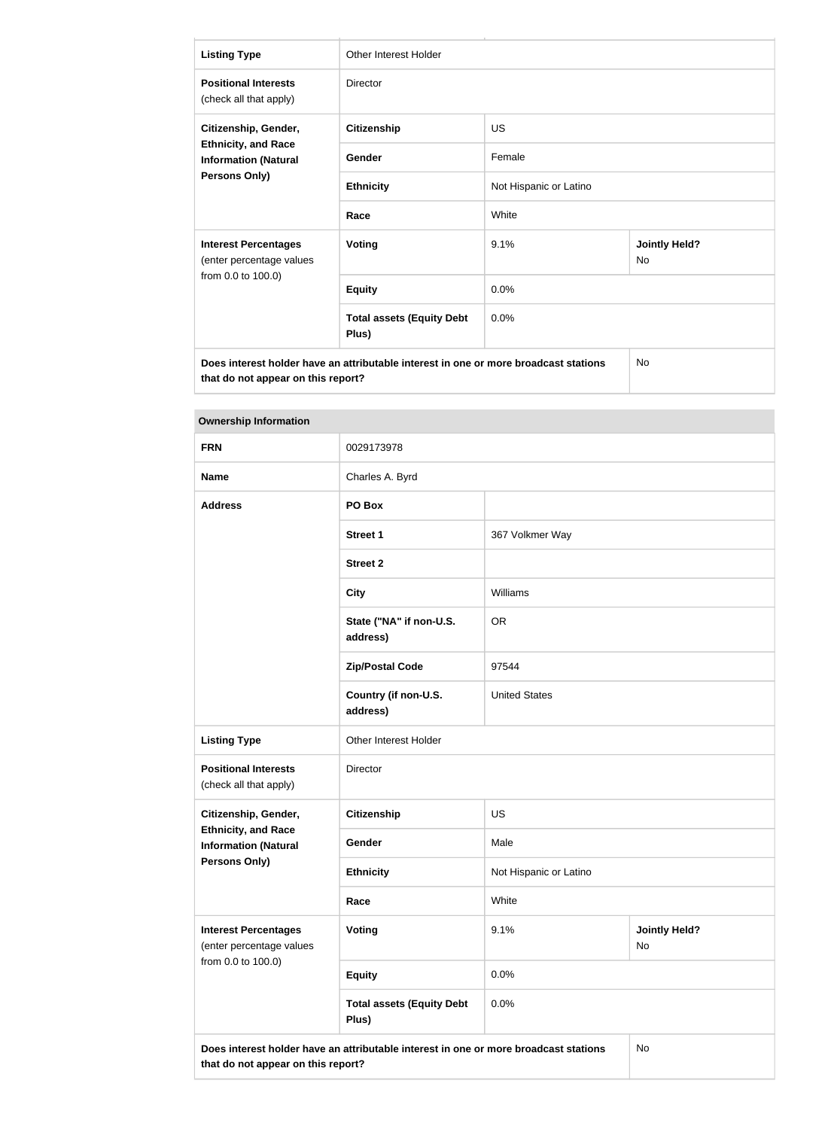| <b>Listing Type</b>                                                                                                        | Other Interest Holder                     |                        |                                   |  |
|----------------------------------------------------------------------------------------------------------------------------|-------------------------------------------|------------------------|-----------------------------------|--|
| <b>Positional Interests</b><br>(check all that apply)                                                                      | <b>Director</b>                           |                        |                                   |  |
| Citizenship, Gender,                                                                                                       | <b>Citizenship</b>                        | <b>US</b>              |                                   |  |
| <b>Ethnicity, and Race</b><br><b>Information (Natural</b>                                                                  | Gender                                    | Female                 |                                   |  |
| Persons Only)                                                                                                              | <b>Ethnicity</b>                          | Not Hispanic or Latino |                                   |  |
|                                                                                                                            | Race                                      | White                  |                                   |  |
| <b>Interest Percentages</b><br>(enter percentage values                                                                    | <b>Voting</b>                             | 9.1%                   | <b>Jointly Held?</b><br><b>No</b> |  |
| from 0.0 to 100.0)                                                                                                         | <b>Equity</b>                             | 0.0%                   |                                   |  |
|                                                                                                                            | <b>Total assets (Equity Debt</b><br>Plus) | 0.0%                   |                                   |  |
| Does interest holder have an attributable interest in one or more broadcast stations<br>that do not appear on this report? |                                           |                        | <b>No</b>                         |  |

**The State** 

| <b>Ownership Information</b>                              |                                                                                      |                        |                            |  |  |
|-----------------------------------------------------------|--------------------------------------------------------------------------------------|------------------------|----------------------------|--|--|
| <b>FRN</b>                                                | 0029173978                                                                           |                        |                            |  |  |
| <b>Name</b>                                               | Charles A. Byrd                                                                      |                        |                            |  |  |
| <b>Address</b>                                            | PO Box                                                                               |                        |                            |  |  |
|                                                           | <b>Street 1</b>                                                                      | 367 Volkmer Way        |                            |  |  |
|                                                           | <b>Street 2</b>                                                                      |                        |                            |  |  |
|                                                           | <b>City</b>                                                                          | Williams               |                            |  |  |
|                                                           | State ("NA" if non-U.S.<br>address)                                                  | <b>OR</b>              |                            |  |  |
|                                                           | <b>Zip/Postal Code</b>                                                               | 97544                  |                            |  |  |
|                                                           | Country (if non-U.S.<br>address)                                                     | <b>United States</b>   |                            |  |  |
| <b>Listing Type</b>                                       | Other Interest Holder                                                                |                        |                            |  |  |
| <b>Positional Interests</b><br>(check all that apply)     | Director                                                                             |                        |                            |  |  |
| Citizenship, Gender,                                      | <b>Citizenship</b>                                                                   | US                     |                            |  |  |
| <b>Ethnicity, and Race</b><br><b>Information (Natural</b> | Gender                                                                               | Male                   |                            |  |  |
| <b>Persons Only)</b>                                      | <b>Ethnicity</b>                                                                     | Not Hispanic or Latino |                            |  |  |
|                                                           | Race                                                                                 | White                  |                            |  |  |
| <b>Interest Percentages</b><br>(enter percentage values   | Voting                                                                               | 9.1%                   | <b>Jointly Held?</b><br>No |  |  |
| from 0.0 to 100.0)                                        | <b>Equity</b>                                                                        | 0.0%                   |                            |  |  |
|                                                           | <b>Total assets (Equity Debt</b><br>Plus)                                            | 0.0%                   |                            |  |  |
| that do not appear on this report?                        | Does interest holder have an attributable interest in one or more broadcast stations |                        | No                         |  |  |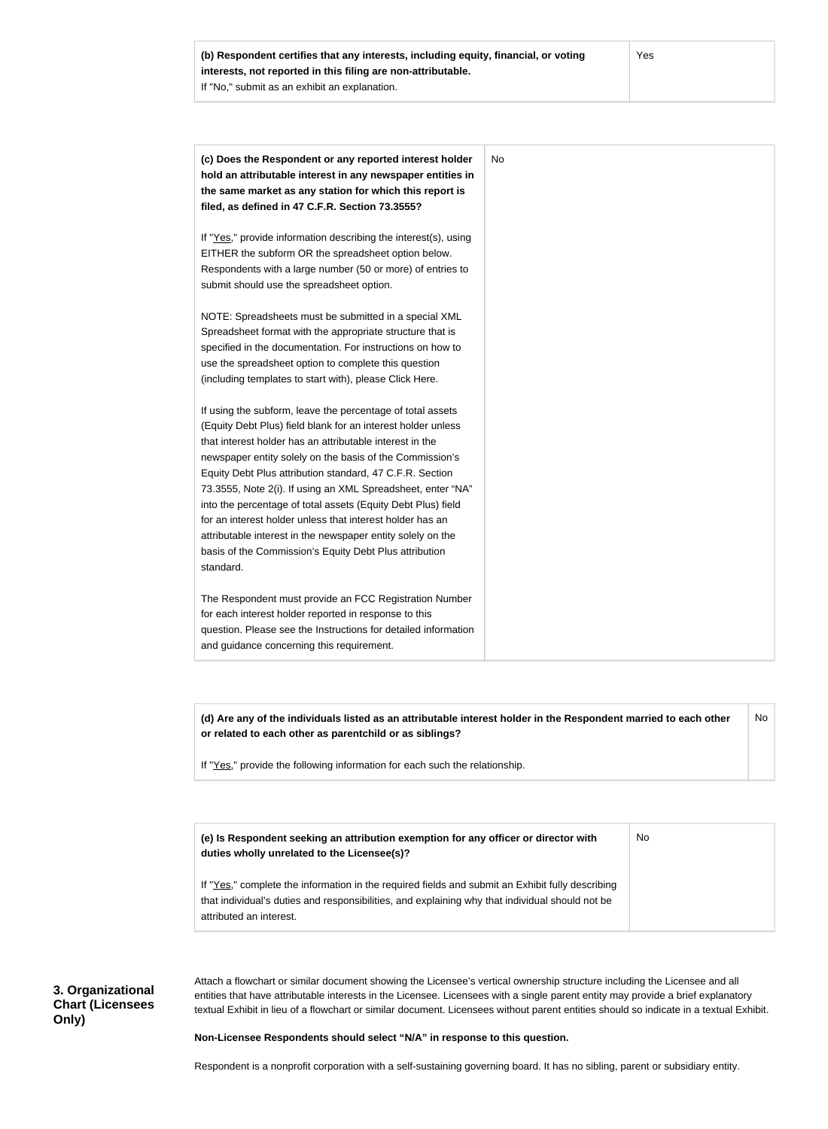| (c) Does the Respondent or any reported interest holder<br>hold an attributable interest in any newspaper entities in    | No |
|--------------------------------------------------------------------------------------------------------------------------|----|
| the same market as any station for which this report is                                                                  |    |
| filed, as defined in 47 C.F.R. Section 73.3555?                                                                          |    |
| If "Yes," provide information describing the interest(s), using                                                          |    |
| EITHER the subform OR the spreadsheet option below.                                                                      |    |
| Respondents with a large number (50 or more) of entries to                                                               |    |
| submit should use the spreadsheet option.                                                                                |    |
| NOTE: Spreadsheets must be submitted in a special XML                                                                    |    |
| Spreadsheet format with the appropriate structure that is                                                                |    |
| specified in the documentation. For instructions on how to                                                               |    |
| use the spreadsheet option to complete this question                                                                     |    |
| (including templates to start with), please Click Here.                                                                  |    |
| If using the subform, leave the percentage of total assets                                                               |    |
| (Equity Debt Plus) field blank for an interest holder unless                                                             |    |
| that interest holder has an attributable interest in the                                                                 |    |
| newspaper entity solely on the basis of the Commission's                                                                 |    |
| Equity Debt Plus attribution standard, 47 C.F.R. Section                                                                 |    |
| 73.3555, Note 2(i). If using an XML Spreadsheet, enter "NA"                                                              |    |
| into the percentage of total assets (Equity Debt Plus) field                                                             |    |
| for an interest holder unless that interest holder has an<br>attributable interest in the newspaper entity solely on the |    |
| basis of the Commission's Equity Debt Plus attribution                                                                   |    |
| standard.                                                                                                                |    |
| The Respondent must provide an FCC Registration Number                                                                   |    |
| for each interest holder reported in response to this                                                                    |    |
| question. Please see the Instructions for detailed information                                                           |    |
| and guidance concerning this requirement.                                                                                |    |

**(d) Are any of the individuals listed as an attributable interest holder in the Respondent married to each other or related to each other as parentchild or as siblings?** If "Yes," provide the following information for each such the relationship. No

| (e) Is Respondent seeking an attribution exemption for any officer or director with<br>duties wholly unrelated to the Licensee(s)?                                                                                             | No |
|--------------------------------------------------------------------------------------------------------------------------------------------------------------------------------------------------------------------------------|----|
| If "Yes," complete the information in the required fields and submit an Exhibit fully describing<br>that individual's duties and responsibilities, and explaining why that individual should not be<br>attributed an interest. |    |

# **3. Organizational Chart (Licensees Only)**

Attach a flowchart or similar document showing the Licensee's vertical ownership structure including the Licensee and all entities that have attributable interests in the Licensee. Licensees with a single parent entity may provide a brief explanatory textual Exhibit in lieu of a flowchart or similar document. Licensees without parent entities should so indicate in a textual Exhibit.

#### **Non-Licensee Respondents should select "N/A" in response to this question.**

Respondent is a nonprofit corporation with a self-sustaining governing board. It has no sibling, parent or subsidiary entity.